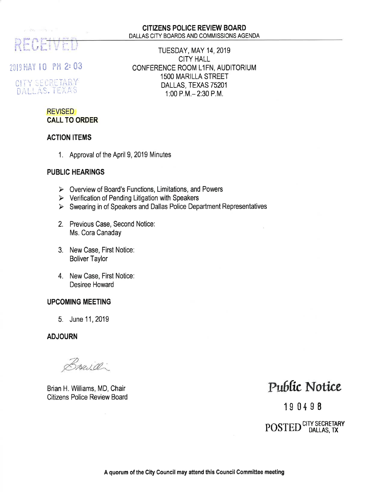# REC

2019 MAY 10 PM 2:03

CITY SECRETARY DALLAS, TEXAS

#### CITIZENS POLICE REVIEW BOARD DALLAS CITY BOARDS AND COMMISSIONS AGENDA

TUESDAY, MAY 14,2019 CITY HALL CONFERENCE ROOM L1FN, AUDITORIUM 15OO MARILLA STREET DALLAS, TEXAS 75201 1:00 P.M.- 2:30 P.M,

### REVISED CALL TO ORDER

#### ACTION ITEMS

1. Approval of the April 9, 2019 Minutes

#### PUBLIC HEARINGS

- $\triangleright$  Overview of Board's Functions, Limitations, and Powers
- $\triangleright$  Verification of Pending Litigation with Speakers
- $\triangleright$  Swearing in of Speakers and Dallas Police Department Representatives
- 2. Previous Case, Second Notice: Ms. Cora Canaday
- 3. New Case, First Notice: Boliver Taylor
- 4. New Case, First Notice: Desiree Howard

#### UPCOMING MEETING

5. June 11, 2019

ADJOURN

Bruid.

Brian H. Williams, MD, Chair Citizens Police Review Board

## Public Notice

19 0498

POSTED<sup>CITY</sup> SECRETARY